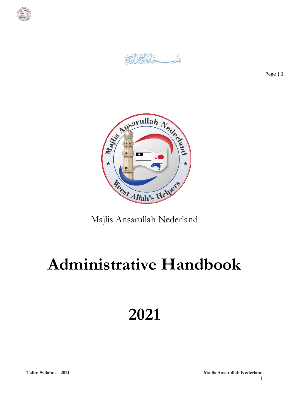

Ů.



Majlis Ansarullah Nederland

# **Administrative Handbook**

**2021**

**Talim Syllabus - 2021 Majlis Ansarullah Nederland** 1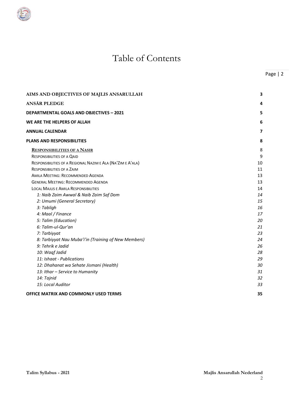# Table of Contents

| AIMS AND OBJECTIVES OF MAJLIS ANSARULLAH                    | 3                       |
|-------------------------------------------------------------|-------------------------|
| <b>ANSÄR PLEDGE</b>                                         | 4                       |
| <b>DEPARTMENTAL GOALS AND OBJECTIVES - 2021</b>             | 5                       |
| WE ARE THE HELPERS OF ALLAH                                 | 6                       |
| <b>ANNUAL CALENDAR</b>                                      | $\overline{\mathbf{z}}$ |
| <b>PLANS AND RESPONSIBILITIES</b>                           | 8                       |
| <b>RESPONSIBILITIES OF A NASIR</b>                          | 8                       |
| <b>RESPONSIBILITIES OF A QAID</b>                           | 9                       |
| RESPONSIBILITIES OF A REGIONAL NAZIM E ALA (NA'ZIM E A'ALA) | 10                      |
| <b>RESPONSIBILITIES OF A ZAIM</b>                           | 11                      |
| AMILA MEETING: RECOMMENDED AGENDA                           | 13                      |
| <b>GENERAL MEETING: RECOMMENDED AGENDA</b>                  | 13                      |
| <b>LOCAL MAJLIS E AMILA RESPONSIBILITIES</b>                | 14                      |
| 1: Naib Zaim Awwal & Naib Zaim Saf Dom                      | 14                      |
| 2: Umumi (General Secretary)                                | 15                      |
| 3: Tabligh                                                  | 16                      |
| 4: Maal / Finance                                           | 17                      |
| 5: Talim (Education)                                        | 20                      |
| 6: Talim-ul-Qur'an                                          | 21                      |
| 7: Tarbiyyat                                                | 23                      |
| 8: Tarbiyyat Nau Muba'i'in (Training of New Members)        | 24                      |
| 9: Tehrik e Jadid                                           | 26                      |
| 10: Waqf Jadid                                              | 28                      |
| 11: Ishaat - Publications                                   | 29                      |
| 12: Dhahanat wa Sehate Jismani (Health)                     | 30                      |
| 13: Ithar - Service to Humanity                             | 31                      |
| 14: Tajnid                                                  | 32                      |
| 15: Local Auditor                                           | 33                      |
| <b>OFFICE MATRIX AND COMMONLY USED TERMS</b>                | 35                      |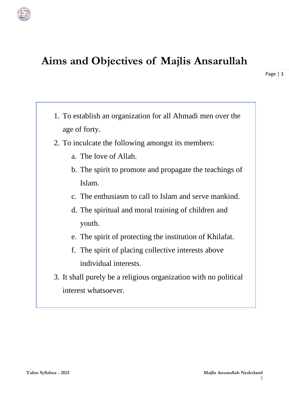# **Aims and Objectives of Majlis Ansarullah**

- 1. To establish an organization for all Ahmadi men over the age of forty.
- 2. To inculcate the following amongst its members:
	- a. The love of Allah.
	- b. The spirit to promote and propagate the teachings of Islam.
	- c. The enthusiasm to call to Islam and serve mankind.
	- d. The spiritual and moral training of children and youth.
	- e. The spirit of protecting the institution of Khilafat.
	- f. The spirit of placing collective interests above individual interests.
- 3. It shall purely be a religious organization with no political interest whatsoever.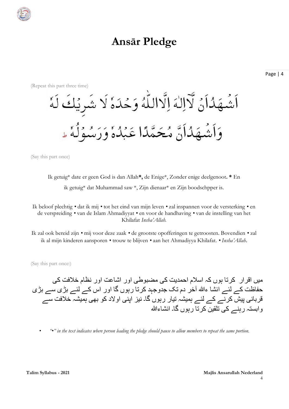

# **Ansār Pledge**



(Say this part once)

Ik getuig\* date er geen God is dan Allah**\*,** de Enige\*, Zonder enige deelgenoot**. \*** En ik getuig\* dat Muhammad saw \*, Zijn dienaar\* en Zijn boodschpper is*.*

Ik beloof plechtig *•* dat ik mij *•* tot het eind van mijn leven *•* zal inspannen voor de versterking *•* en de verspreiding *•* van de Islam Ahmadiyyat *•* en voor de handhaving *•* van de instelling van het Khilafat *Insha'Allah.*

Ik zal ook bereid zijn *•* mij voor deze zaak *•* de grootste opofferingen te getroosten. Bovendien *•* zal ik al mijn kinderen aansporen *•* trouw te blijven *•* aan het Ahmadiyya Khilafat. *• Insha'Allah*.

(Say this part once:)

میں اقرار کرتا ہوں کہ اسالم احمدیت کی مضبوطی اور اشاعت اور نظام خالفت کی حفاظت کے لئے انشا ءہللا آخر دم تک جدوجہد کرتا رہوں گا اور اس کے لئے بڑی سے بڑی قربانی پیش کرنے کے لئے ہمیشہ تیار رہوں گا۔ نیز اپنی اوالد کو بھی ہمیشہ خالفت سے وابستہ رہنے کی تلقین کرتا رہوں گا۔ انشاءہللا

• *"•" in the text indicates where person leading the pledge should pause to allow members to repeat the same portion.*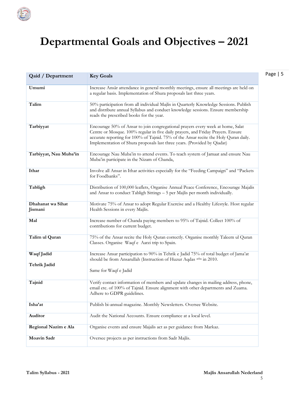

# **Departmental Goals and Objectives – 2021**

| <b>Qaid / Department</b>     | <b>Key Goals</b>                                                                                                                                                                                                                                                                                                                        |
|------------------------------|-----------------------------------------------------------------------------------------------------------------------------------------------------------------------------------------------------------------------------------------------------------------------------------------------------------------------------------------|
| Umumi                        | Increase Ansār attendance in general monthly meetings, ensure all meetings are held on<br>a regular basis. Implementation of Shura proposals last three years.                                                                                                                                                                          |
| Talim                        | 50% participation from all individual Majlis in Quarterly Knowledge Sessions. Publish<br>and distribute annual Syllabus and conduct knowledge sessions. Ensure membership<br>reads the prescribed books for the year.                                                                                                                   |
| Tarbiyyat                    | Encourage 50% of Ansar to join congregational prayers every week at home, Salat<br>Centre or Mosque. 100% regular in five daily prayers, and Friday Prayers. Ensure<br>accurate reporting for 100% of Tajnid. 75% of the Ansar recite the Holy Quran daily.<br>Implementation of Shura proposals last three years. (Provided by Qiadat) |
| Tarbiyyat, Nau Muba'in       | Encourage Nau Muba'in to attend events. To teach system of Jamaat and ensure Nau<br>Muba'in participate in the Nizam of Chanda,                                                                                                                                                                                                         |
| Ithar                        | Involve all Ansar in Ithar activities especially for the "Feeding Campaign" and "Packets<br>for Foodbanks".                                                                                                                                                                                                                             |
| Tabligh                      | Distribution of 100,000 leaflets, Organise Annual Peace Conference, Encourage Majalis<br>and Ansar to conduct Tabligh Sittings - 5 per Majlis per month individually.                                                                                                                                                                   |
| Dhahanat wa Sihat<br>Jismani | Motivate 75% of Ansar to adopt Regular Exercise and a Healthy Lifestyle. Host regular<br>Health Sessions in every Majlis.                                                                                                                                                                                                               |
| Mal                          | Increase number of Chanda paying members to 95% of Tajnid. Collect 100% of<br>contributions for current budget.                                                                                                                                                                                                                         |
| Talim ul Quran               | 75% of the Ansar recite the Holy Quran correctly. Organise monthly Taleem ul Quran<br>Classes. Organise Waqf e Aarzi trip to Spain.                                                                                                                                                                                                     |
| Waqf Jadid<br>Tehrik Jadid   | Increase Ansar participation to 90% in Tehrik e Jadid 75% of total budget of Jama'at<br>should be from Ansarullah (Instruction of Huzur Aqdas atba in 2010.                                                                                                                                                                             |
|                              | Same for Waqf e Jadid                                                                                                                                                                                                                                                                                                                   |
| Tajnid                       | Verify contact information of members and update changes in mailing address, phone,<br>email etc. of 100% of Tajnid. Ensure alignment with other departments and Zuama.<br>Adhere to GDPR guidelines.                                                                                                                                   |
| Isha'at                      | Publish bi-annual magazine. Monthly Newsletters. Oversee Website.                                                                                                                                                                                                                                                                       |
| Auditor                      | Audit the National Accounts. Ensure compliance at a local level.                                                                                                                                                                                                                                                                        |
| Regional Nazim e Ala         | Organise events and ensure Majalis act as per guidance from Markaz.                                                                                                                                                                                                                                                                     |
| <b>Moavin Sadr</b>           | Oversee projects as per instructions from Sadr Majlis.                                                                                                                                                                                                                                                                                  |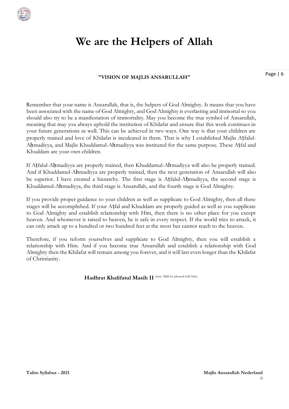

# **We are the Helpers of Allah**

#### **"VISION OF MAJLIS ANSARULLAH"**

Page | 6

Remember that your name is Ansarullah, that is, the helpers of God Almighty. It means that you have been associated with the name of God Almighty, and God Almighty is everlasting and immortal so you should also try to be a manifestation of immortality. May you become the true symbol of Ansarullah, meaning that may you always uphold the institution of Khilafat and ensure that this work continues in your future generations as well. This can be achieved in two ways. One way is that your children are properly trained and love of Khilafat is inculcated in them. That is why I established Majlis Aṭfalul-Ahmadiyya, and Majlis Khuddamul-Ahmadiyya was instituted for the same purpose. These Atfal and Khuddam are your own children.

If Aṭfalul-Aḥmadiyya are properly trained, then Khuddamul-Ahmadiyya will also be properly trained. And if Khuddamul-Ahmadiyya are properly trained, then the next generation of Ansarullah will also be superior. I have created a hierarchy. The first stage is Atfalul-Ahmadiyya, the second stage is Khuddamul-Ahmadiyya, the third stage is Ansarullah, and the fourth stage is God Almighty.

If you provide proper guidance to your children as well as supplicate to God Almighty, then all these stages will be accomplished. If your Aṭfal and Khuddam are properly guided as well as you supplicate to God Almighty and establish relationship with Him, then there is no other place for you except heaven. And whomever is raised to heaven, he is safe in every respect. If the world tries to attack, it can only attack up to a hundred or two hundred feet at the most but cannot reach to the heaven.

Therefore, if you reform yourselves and supplicate to God Almighty, then you will establish a relationship with Him. And if you become true Ansarullah and establish a relationship with God Almighty then the Khilafat will remain among you forever, and it will last even longer than the Khilafat of Christianity.

**Hadhrat Khalifatul Masih II** (may Allah be pleased with him)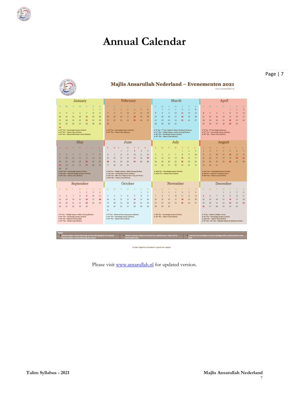

# **Annual Calendar**

|                                                                                                                                                                           |                                                                                                                                       |                                                                                                  |                                                                                                             |                |                                                                                                     |                                                                                                                                                                                                                        |                         |                                                                                                                                                      |                         |                |                                                                                     |                                                                                                                                                                                                                                                              |                |                | Majlis Ansarullah Nederland - Evenementen 2021                                                       |                |                |                                                                                                                                         |                                                                                                                                                                       |                                                                          |    |                                                                                                                                                                                                                                     |                | www.ansarullah.nl |                         |                |                 |
|---------------------------------------------------------------------------------------------------------------------------------------------------------------------------|---------------------------------------------------------------------------------------------------------------------------------------|--------------------------------------------------------------------------------------------------|-------------------------------------------------------------------------------------------------------------|----------------|-----------------------------------------------------------------------------------------------------|------------------------------------------------------------------------------------------------------------------------------------------------------------------------------------------------------------------------|-------------------------|------------------------------------------------------------------------------------------------------------------------------------------------------|-------------------------|----------------|-------------------------------------------------------------------------------------|--------------------------------------------------------------------------------------------------------------------------------------------------------------------------------------------------------------------------------------------------------------|----------------|----------------|------------------------------------------------------------------------------------------------------|----------------|----------------|-----------------------------------------------------------------------------------------------------------------------------------------|-----------------------------------------------------------------------------------------------------------------------------------------------------------------------|--------------------------------------------------------------------------|----|-------------------------------------------------------------------------------------------------------------------------------------------------------------------------------------------------------------------------------------|----------------|-------------------|-------------------------|----------------|-----------------|
|                                                                                                                                                                           |                                                                                                                                       |                                                                                                  | <b>January</b>                                                                                              |                |                                                                                                     |                                                                                                                                                                                                                        |                         |                                                                                                                                                      |                         | February       |                                                                                     |                                                                                                                                                                                                                                                              |                |                |                                                                                                      |                | March          |                                                                                                                                         |                                                                                                                                                                       |                                                                          |    |                                                                                                                                                                                                                                     |                | April             |                         |                |                 |
|                                                                                                                                                                           | M                                                                                                                                     | T                                                                                                | W                                                                                                           | T              | F                                                                                                   | s                                                                                                                                                                                                                      |                         | в                                                                                                                                                    |                         | w              |                                                                                     |                                                                                                                                                                                                                                                              | ×              | s              | M                                                                                                    |                | W              |                                                                                                                                         | R                                                                                                                                                                     | ×                                                                        | ×  | M                                                                                                                                                                                                                                   | т              | W                 | π                       | ×              | S               |
|                                                                                                                                                                           |                                                                                                                                       |                                                                                                  |                                                                                                             |                | ٠                                                                                                   | $\overline{z}$                                                                                                                                                                                                         |                         |                                                                                                                                                      | $\overline{2}$          | $\overline{3}$ | 4                                                                                   | 5                                                                                                                                                                                                                                                            | 6              |                | 1                                                                                                    | $\overline{ }$ | $\overline{3}$ | $\overline{4}$                                                                                                                          | 5                                                                                                                                                                     | 6                                                                        |    |                                                                                                                                                                                                                                     |                |                   | a                       | $\overline{z}$ | 3               |
| з                                                                                                                                                                         | 4                                                                                                                                     | $\overline{5}$                                                                                   | 6                                                                                                           | $\overline{ }$ | 8                                                                                                   | $\overline{9}$                                                                                                                                                                                                         | $\overline{7}$          | $\overline{\mathbf{8}}$                                                                                                                              | 9                       | 10             | 11                                                                                  | 12                                                                                                                                                                                                                                                           | 13             | $\overline{7}$ | 8                                                                                                    | 9              | 10             | 11                                                                                                                                      | 12                                                                                                                                                                    | 13                                                                       | 4  | 5                                                                                                                                                                                                                                   | 6              | $\overline{7}$    | $\overline{\mathbf{8}}$ | 9              | 10 <sup>°</sup> |
| 10                                                                                                                                                                        | 11                                                                                                                                    | 12                                                                                               | 13                                                                                                          | 14             | 15                                                                                                  | 16                                                                                                                                                                                                                     | 14                      | 15                                                                                                                                                   | 16                      | 17             | 18                                                                                  | 19                                                                                                                                                                                                                                                           | 20             | 14             | 15                                                                                                   | 16             | 17             | 18                                                                                                                                      | 19                                                                                                                                                                    | 20                                                                       | 11 | 12                                                                                                                                                                                                                                  | 13             | 14                | 15                      | 16             | 17              |
| 17                                                                                                                                                                        | 18                                                                                                                                    | 19                                                                                               | 20                                                                                                          | 21             | 22                                                                                                  | 23                                                                                                                                                                                                                     | 21                      | 22                                                                                                                                                   | 23                      | 24             | 25                                                                                  | 26                                                                                                                                                                                                                                                           | 27             | 21             | 22                                                                                                   | 23             | 24             | 25                                                                                                                                      | 26                                                                                                                                                                    | 27                                                                       | 18 | 19                                                                                                                                                                                                                                  | 20             | 21                | 22                      | 23             | 24              |
| 24                                                                                                                                                                        | 25                                                                                                                                    | 26                                                                                               | 27                                                                                                          | 28             | 29                                                                                                  | 30                                                                                                                                                                                                                     | 28                      |                                                                                                                                                      |                         |                |                                                                                     |                                                                                                                                                                                                                                                              |                | 28             | 29                                                                                                   | 30             | 31             |                                                                                                                                         |                                                                                                                                                                       |                                                                          | 25 | 26                                                                                                                                                                                                                                  | 27             | 28                | 29                      | 30             |                 |
| 31<br>• 14 <sup>th</sup> Thu - Knowledge Session (Online)<br>. 21 <sup>st</sup> Thu - Taleem Class (Online)<br>· 31 <sup>*</sup> Sun - National Refresher Course (Online) |                                                                                                                                       |                                                                                                  |                                                                                                             |                | • 18 <sup>th</sup> Thu-Knowledge Session (Online)<br>• 25 <sup>th</sup> Thu - Taleem Class (Online) |                                                                                                                                                                                                                        |                         |                                                                                                                                                      |                         |                |                                                                                     | • 6 <sup>th</sup> Sat - 7 <sup>th</sup> Sun- Regional Taleem Tarbiyyat Seminars<br>. 11 <sup>th</sup> Thu - Tabligh Dayeen e Allah Training (Online)<br>+ 18 <sup>m</sup> Thu - Knowledge Session (Online)<br>+ 25 <sup>th</sup> Thu - Taleem Class (Online) |                |                |                                                                                                      |                |                |                                                                                                                                         | · 3 <sup>rd</sup> Sat - 4 <sup>th</sup> Sun-Regional litemas<br>. 22 <sup>nd</sup> Thu - Knowledge Session (Online)<br>• 29 <sup>th</sup> Thu - Taleem Class (Online) |                                                                          |    |                                                                                                                                                                                                                                     |                |                   |                         |                |                 |
|                                                                                                                                                                           |                                                                                                                                       |                                                                                                  | May                                                                                                         |                |                                                                                                     |                                                                                                                                                                                                                        |                         |                                                                                                                                                      |                         | June           |                                                                                     |                                                                                                                                                                                                                                                              |                |                |                                                                                                      |                | July           |                                                                                                                                         |                                                                                                                                                                       |                                                                          |    |                                                                                                                                                                                                                                     |                | August            |                         |                |                 |
|                                                                                                                                                                           |                                                                                                                                       |                                                                                                  |                                                                                                             |                |                                                                                                     |                                                                                                                                                                                                                        | S                       | M                                                                                                                                                    | T                       | W              | T                                                                                   | F                                                                                                                                                                                                                                                            | S              | S              | M                                                                                                    | т              | W              |                                                                                                                                         |                                                                                                                                                                       | S                                                                        | я  | M                                                                                                                                                                                                                                   |                | w                 |                         |                | S               |
|                                                                                                                                                                           |                                                                                                                                       |                                                                                                  |                                                                                                             |                |                                                                                                     | л                                                                                                                                                                                                                      |                         |                                                                                                                                                      | 1                       | $\overline{2}$ | 3                                                                                   | $\Delta$                                                                                                                                                                                                                                                     | s              |                |                                                                                                      |                |                | $\mathbf{1}$                                                                                                                            | $\overline{2}$                                                                                                                                                        | $\overline{3}$                                                           | 1  | $\overline{z}$                                                                                                                                                                                                                      | R              | A                 | $\overline{\mathbf{5}}$ | 6              | $\overline{7}$  |
|                                                                                                                                                                           | ×                                                                                                                                     | $\overline{a}$                                                                                   | $\overline{\mathbf{s}}$                                                                                     | ĸ              | $\overline{z}$                                                                                      | $\mathbf{R}$                                                                                                                                                                                                           | 6                       | $\overline{z}$                                                                                                                                       | 8                       | $\overline{9}$ | 10                                                                                  | 11                                                                                                                                                                                                                                                           | 12             | Δ              | 5                                                                                                    | 6              | $\overline{7}$ | 8                                                                                                                                       | 9                                                                                                                                                                     | 10                                                                       | 8  | 9                                                                                                                                                                                                                                   | 10             | 11                | 12                      | 13             | 14              |
| 9                                                                                                                                                                         | 10                                                                                                                                    | 11                                                                                               | 12                                                                                                          | 13             | 14                                                                                                  | 15                                                                                                                                                                                                                     | 13                      | 14                                                                                                                                                   | 15                      | 16             | 17                                                                                  | 18                                                                                                                                                                                                                                                           | 19             | 11             | 12                                                                                                   | 13             | 14             | 15                                                                                                                                      | 16                                                                                                                                                                    | 17                                                                       | 15 | 16                                                                                                                                                                                                                                  | 17             | 18                | 19                      | 20             | 21              |
| 16                                                                                                                                                                        | 17<br>24                                                                                                                              | 18<br>25                                                                                         | 19<br>26                                                                                                    | 20<br>27       | 21<br>28                                                                                            | 22                                                                                                                                                                                                                     | 20                      | 21                                                                                                                                                   | 22                      | 23             | 24                                                                                  | 25                                                                                                                                                                                                                                                           | 26             | 18             | 19                                                                                                   | 20             | 21             | 22                                                                                                                                      | 23                                                                                                                                                                    | 24                                                                       | 22 | 23                                                                                                                                                                                                                                  | 24             | 25                | 26                      | 27             | 28              |
| 23<br>30                                                                                                                                                                  | 31<br>. 20th Thu ~ Knowledge Session (Online)<br>. 23rd Sun - National Tabligh Seminar (Online)<br>. 27th Thu - Taleem Class (Online) |                                                                                                  |                                                                                                             |                | 29                                                                                                  | 27<br>28<br>29<br>30<br>. 3rd Thu - Tabligh Dayeen e Allah Training (Online)<br>· 17th Thu - Knowledge Session (Online)<br>+ 19th Sat - 20th Sun- Regional Sport Day and Picnics<br>. 24th Thu - Taleem Class (Online) |                         |                                                                                                                                                      |                         | 25             | 26<br>+ 15th Thu - Knowledge Session (Online)<br>. 22nd Thu - Taleem Class (Online) | 27                                                                                                                                                                                                                                                           | 28             | 29             | 30                                                                                                   | 31             | 29             | 30 <sub>2</sub><br>. 12th Thu - Knowledge Session (Online)<br>. 20th Fri-22nd Sun-National Ijtema<br>. 26th Thu - Taleem Class (Online) | 31                                                                                                                                                                    |                                                                          |    |                                                                                                                                                                                                                                     |                |                   |                         |                |                 |
|                                                                                                                                                                           |                                                                                                                                       |                                                                                                  | September                                                                                                   |                |                                                                                                     |                                                                                                                                                                                                                        |                         |                                                                                                                                                      |                         | October        |                                                                                     |                                                                                                                                                                                                                                                              |                |                |                                                                                                      |                | November       |                                                                                                                                         |                                                                                                                                                                       |                                                                          |    |                                                                                                                                                                                                                                     |                | December          |                         |                |                 |
|                                                                                                                                                                           |                                                                                                                                       |                                                                                                  |                                                                                                             |                |                                                                                                     |                                                                                                                                                                                                                        |                         |                                                                                                                                                      |                         |                |                                                                                     |                                                                                                                                                                                                                                                              |                |                |                                                                                                      |                |                |                                                                                                                                         |                                                                                                                                                                       |                                                                          |    |                                                                                                                                                                                                                                     |                |                   |                         |                |                 |
|                                                                                                                                                                           | M                                                                                                                                     |                                                                                                  | W<br>$\mathbf{1}$                                                                                           | $\overline{ }$ | $\overline{3}$                                                                                      | R<br>$\Delta$                                                                                                                                                                                                          | s                       | M                                                                                                                                                    |                         | W              |                                                                                     | $\overline{1}$                                                                                                                                                                                                                                               | $\overline{2}$ |                | 1                                                                                                    | $\overline{2}$ | $\overline{3}$ | $\Delta$                                                                                                                                | 5                                                                                                                                                                     | 6                                                                        | s  | M                                                                                                                                                                                                                                   | T              | W<br>$\mathbf{1}$ | $\overline{2}$          | $\overline{3}$ | S<br>$\Delta$   |
|                                                                                                                                                                           | 6                                                                                                                                     | $\overline{\phantom{a}}$                                                                         | 8                                                                                                           | $\bullet$      | 10                                                                                                  | 11                                                                                                                                                                                                                     | $\overline{\mathbf{3}}$ | $\overline{a}$                                                                                                                                       | $\overline{\mathbf{S}}$ | 6              | $\overline{7}$                                                                      | 8                                                                                                                                                                                                                                                            | $\overline{9}$ | 7              | 8                                                                                                    | 9              | 10             | 11                                                                                                                                      | 12                                                                                                                                                                    | 13                                                                       | 5  | 6                                                                                                                                                                                                                                   | $\overline{7}$ | 8                 | $\overline{9}$          | 10             | 11              |
| 12                                                                                                                                                                        | 13                                                                                                                                    | 14                                                                                               | 15                                                                                                          | 16             | 17                                                                                                  | 18                                                                                                                                                                                                                     | 10                      | 11                                                                                                                                                   | 12                      | 13             | 14                                                                                  | 15                                                                                                                                                                                                                                                           | 16             | 14             | 15                                                                                                   | 16             | 17             | 18                                                                                                                                      | 19                                                                                                                                                                    | 20                                                                       | 12 | 13                                                                                                                                                                                                                                  | 14             | 15                | 16                      | 17             | 18              |
| 19                                                                                                                                                                        | 20                                                                                                                                    | 21                                                                                               | 22                                                                                                          | 23             | 24                                                                                                  | 25                                                                                                                                                                                                                     | 17                      | 18                                                                                                                                                   | 19                      | 20             | 21                                                                                  | 22                                                                                                                                                                                                                                                           | 23             | 21             | 22                                                                                                   | 23             | 24             | 25                                                                                                                                      | 26                                                                                                                                                                    | 27                                                                       | 19 | 20                                                                                                                                                                                                                                  | 21             | 22                | 23                      | 24             | 25              |
| 26                                                                                                                                                                        | 27                                                                                                                                    | 28                                                                                               | 29                                                                                                          | 30             |                                                                                                     |                                                                                                                                                                                                                        | 24                      | 25                                                                                                                                                   | 26                      | 27             | 28                                                                                  | 29                                                                                                                                                                                                                                                           | 30             | 28             | 29                                                                                                   | 30             |                |                                                                                                                                         |                                                                                                                                                                       |                                                                          | 26 | 27                                                                                                                                                                                                                                  | 28             | 29                | 30                      | 31             |                 |
|                                                                                                                                                                           |                                                                                                                                       | . 18 <sup>th</sup> Sat - National Charity Walk<br>+ 23 <sup>rd</sup> Thu - Taleem Class (Online) | . 9th Thu - Tabligh Dayeen e Allah Training (Online)<br>+ 16 <sup>th</sup> Thu - Knowledge Session (Online) |                |                                                                                                     |                                                                                                                                                                                                                        | 31                      | • 7 <sup>th</sup> Thu - National Peace Symposium (Online)<br>+ 14 <sup>m</sup> Thu - Knowledge Session (Online)<br>. 21" Thu - Taleem Class (Online) |                         |                |                                                                                     |                                                                                                                                                                                                                                                              |                |                | · 18 <sup>th</sup> Thu - Knowledge Session (Online)<br>+ 25 <sup>m</sup> Thu - Taleem Class (Online) |                |                |                                                                                                                                         |                                                                                                                                                                       |                                                                          |    | · 5 <sup>th</sup> Sun - National Majlis e Shura<br>+ 16 <sup>th</sup> Thu - Knowledge Session (Online)<br>. 23rd Thu - Taleem Class (Online)<br>. 25 <sup>th</sup> Sat - 26 <sup>th</sup> Sun - National Taleem & Tarbiyyat Seminar |                |                   |                         |                |                 |
|                                                                                                                                                                           |                                                                                                                                       |                                                                                                  |                                                                                                             |                |                                                                                                     |                                                                                                                                                                                                                        |                         |                                                                                                                                                      |                         |                |                                                                                     |                                                                                                                                                                                                                                                              |                |                |                                                                                                      |                |                |                                                                                                                                         |                                                                                                                                                                       |                                                                          |    |                                                                                                                                                                                                                                     |                |                   |                         |                |                 |
|                                                                                                                                                                           |                                                                                                                                       |                                                                                                  |                                                                                                             |                |                                                                                                     |                                                                                                                                                                                                                        |                         |                                                                                                                                                      |                         |                |                                                                                     |                                                                                                                                                                                                                                                              |                |                |                                                                                                      |                |                |                                                                                                                                         |                                                                                                                                                                       |                                                                          |    |                                                                                                                                                                                                                                     |                |                   |                         |                |                 |
|                                                                                                                                                                           |                                                                                                                                       |                                                                                                  |                                                                                                             |                |                                                                                                     | . National Majlis e Amila Meetings will be held alongside the Jamaat                                                                                                                                                   |                         |                                                                                                                                                      |                         |                |                                                                                     |                                                                                                                                                                                                                                                              |                |                | . Taleem ul Quran Classes to be held on a weekly basis. Dates will be                                |                |                |                                                                                                                                         |                                                                                                                                                                       | . Local General and Majlis e Amila meetings will be scheduled at a local |    |                                                                                                                                                                                                                                     |                |                   |                         |                |                 |

Contact Algemene Secretaris in geval van vragen.

Please visit [www.ansarullah.nl](http://www.ansarullah.nl/) for updated version.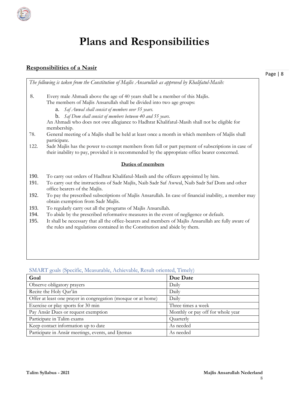# **Plans and Responsibilities**

# **Responsibilities of a Nasir**

Page | 8

*The following is taken from the Constitution of Majlis Ansarullah as approved by Khalifatul-Masih:*  8. Every male Ahmadi above the age of 40 years shall be a member of this Majlis. The members of Majlis Ansarullah shall be divided into two age groups: a. *Saf Awwal shall consist of members over 55 years.*  b. *Saf Dom shall consist of members between 40 and 55 years.*  An Ahmadi who does not owe allegiance to Hadhrat Khalifatul-Masih shall not be eligible for membership. 78. General meeting of a Majlis shall be held at least once a month in which members of Majlis shall participate. 122. Sadr Majlis has the power to exempt members from full or part payment of subscriptions in case of their inability to pay, provided it is recommended by the appropriate office bearer concerned. **Duties of members** 190. To carry out orders of Hadhrat Khalifatul-Masih and the officers appointed by him. 191. To carry out the instructions of Sadr Majlis, Naib Sadr Saf Awwal, Naib Sadr Saf Dom and other office bearers of the Majlis. 192. To pay the prescribed subscriptions of Majlis Ansarullah. In case of financial inability, a member may obtain exemption from Sadr Majlis. 193. To regularly carry out all the programs of Majlis Ansarullah. 194. To abide by the prescribed reformative measures in the event of negligence or default. 195. It shall be necessary that all the office-bearers and members of Majlis Ansarullah are fully aware of the rules and regulations contained in the Constitution and abide by them.

## SMART goals (Specific, Measurable, Achievable, Result oriented, Timely)

| Goal                                                          | Due Date                          |
|---------------------------------------------------------------|-----------------------------------|
| Observe obligatory prayers                                    | Daily                             |
| Recite the Holy Qur'an                                        | Daily                             |
| Offer at least one prayer in congregation (mosque or at home) | Daily                             |
| Exercise or play sports for 30 min                            | Three times a week                |
| Pay Ansar Dues or request exemption                           | Monthly or pay off for whole year |
| Participate in Talim exams                                    | Quarterly                         |
| Keep contact information up to date                           | As needed                         |
| Participate in Ansār meetings, events, and Ijtemas            | As needed                         |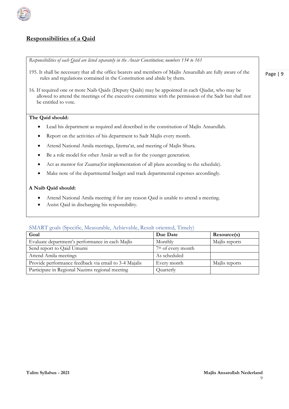

# **Responsibilities of a Qaid**

*Responsibilities of each Qaid are listed separately in the Ansār Constitution; numbers 134 to 161*

- 195. It shall be necessary that all the office bearers and members of Majlis Ansarullah are fully aware of the rules and regulations contained in the Constitution and abide by them.
- 16. If required one or more Naib Qaids (Deputy Qaids) may be appointed in each Qiadat, who may be allowed to attend the meetings of the executive committee with the permission of the Sadr but shall not be entitled to vote.

#### **The Qaid should:**

- Lead his department as required and described in the constitution of Majlis Ansarullah.
- Report on the activities of his department to Sadr Majlis every month.
- Attend National Amila meetings, Ijtema'at, and meeting of Majlis Shura.
- Be a role model for other Ansār as well as for the younger generation.
- Act as mentor for Zuama(for implementation of all plans according to the schedule).
- Make note of the departmental budget and track departmental expenses accordingly.

#### **A Naib Qaid should:**

- Attend National Amila meeting if for any reason Qaid is unable to attend a meeting.
- Assist Qaid in discharging his responsibility.

#### SMART goals (Specific, Measurable, Achievable, Result oriented, Timely)

| Goal                                                  | Due Date                       | Resource(s)    |
|-------------------------------------------------------|--------------------------------|----------------|
| Evaluate department's performance in each Majlis      | Monthly                        | Majlis reports |
| Send report to Qaid Umumi                             | 7 <sup>th</sup> of every month |                |
| Attend Amila meetings                                 | As scheduled                   |                |
| Provide performance feedback via email to 3-4 Majalis | Every month                    | Majlis reports |
| Participate in Regional Nazims regional meeting       | Quarterly                      |                |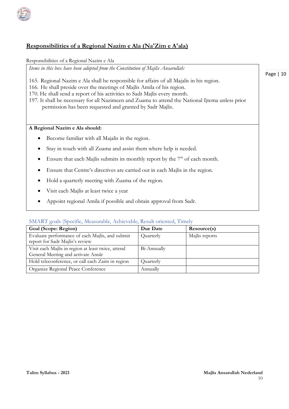

# **Responsibilities of a Regional Nazim e Ala (Na'Zim e A'ala)**

Responsibilities of a Regional Nazim e Ala

*Items in this box have been adopted from the Constitution of Majlis Ansarullah:* 

- 165. Regional Nazim e Ala shall be responsible for affairs of all Majalis in his region.
- 166. He shall preside over the meetings of Majlis Amila of his region.
- 170. He shall send a report of his activities to Sadr Majlis every month.
- 197. It shall be necessary for all Nazimeen and Zuama to attend the National Ijtema unless prior permission has been requested and granted by Sadr Majlis.

#### **A Regional Nazim e Ala should:**

- Become familiar with all Majalis in the region.
- Stay in touch with all Zuama and assist them where help is needed.
- Ensure that each Majlis submits its monthly report by the  $7<sup>th</sup>$  of each month.
- Ensure that Centre's directives are carried out in each Majlis in the region.
- Hold a quarterly meeting with Zuama of the region.
- Visit each Majlis at least twice a year
- Appoint regional Amila if possible and obtain approval from Sadr.

#### SMART goals (Specific, Measurable, Achievable, Result oriented, Timely

| Goal (Scope: Region)                                                               | Due Date    | Resource(s)    |
|------------------------------------------------------------------------------------|-------------|----------------|
| Evaluate performance of each Majlis, and submit<br>report for Sadr Majlis's review | Quarterly   | Majlis reports |
| Visit each Majlis in region at least twice, attend                                 | Bi-Annually |                |
| General Meeting and activate Ansār                                                 |             |                |
| Hold teleconference, or call each Zaim in region                                   | Quarterly   |                |
| Organize Regional Peace Conference                                                 | Annually    |                |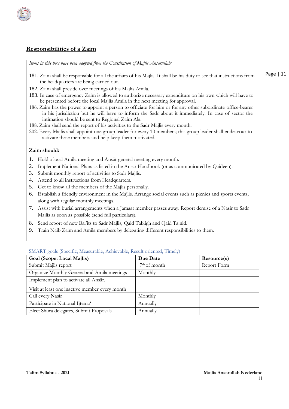# **Responsibilities of a Zaim**

*Items in this box have been adopted from the Constitution of Majlis Ansarullah:*

- 181. Zaim shall be responsible for all the affairs of his Majlis. It shall be his duty to see that instructions from the headquarters are being carried out.
- 182. Zaim shall preside over meetings of his Majlis Amila.
- 183. In case of emergency Zaim is allowed to authorize necessary expenditure on his own which will have to be presented before the local Majlis Amila in the next meeting for approval.
- 186. Zaim has the power to appoint a person to officiate for him or for any other subordinate office-bearer in his jurisdiction but he will have to inform the Sadr about it immediately. In case of sector the intimation should be sent to Regional Zaim Ala.
- 188. Zaim shall send the report of his activities to the Sadr Majlis every month.
- 202. Every Majlis shall appoint one group leader for every 10 members; this group leader shall endeavour to activate these members and help keep them motivated.

#### **Zaim should:**

- 1. Hold a local Amila meeting and Ansār general meeting every month.
- 2. Implement National Plans as listed in the Ansār Handbook (or as communicated by Qaideen).
- 3. Submit monthly report of activities to Sadr Majlis.
- 4. Attend to all instructions from Headquarters.
- 5. Get to know all the members of the Majlis personally.
- 6. Establish a friendly environment in the Majlis. Arrange social events such as picnics and sports events, along with regular monthly meetings.
- 7. Assist with burial arrangements when a Jamaat member passes away. Report demise of a Nasir to Sadr Majlis as soon as possible (send full particulars).
- 8. Send report of new Bai'its to Sadr Majlis, Qaid Tabligh and Qaid Tajnid.
- 9. Train Naib Zaim and Amila members by delegating different responsibilities to them.

| Goal (Scope: Local Majlis)                     | Due Date       | Resource(s) |
|------------------------------------------------|----------------|-------------|
| Submit Majlis report                           | $7th$ of month | Report Form |
| Organize Monthly General and Amila meetings    | Monthly        |             |
| Implement plan to activate all Ansār.          |                |             |
| Visit at least one inactive member every month |                |             |
| Call every Nasir                               | Monthly        |             |
| Participate in National Ijtema'                | Annually       |             |
| Elect Shura delegates, Submit Proposals        | Annually       |             |

#### SMART goals (Specific, Measurable, Achievable, Result oriented, Timely)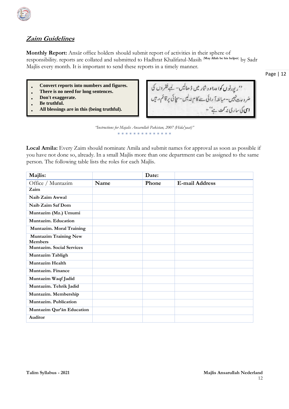

# **Zaim Guidelines**

**Monthly Report:** Ansār office holders should submit report of activities in their sphere of responsibility. reports are collated and submitted to Hadhrat Khalifatul-Masih (**May Allah be his helper**) by Sadr Majlis every month. It is important to send these reports in a timely manner.

Page | 12

- **Convert reports into numbers and figures.**
- **There is no need for long sentences.**
- **Don't exaggerate.**
- **Be truthful.**
- **All blessings are in this (being truthful).**

''ری<sub>ٹی</sub>رٹ<sub>ٹ</sub>ں کوا پرا ووش<sub>ا</sub>ر میں ڈ ھالیں۔ لیے فقروں کی<br>منر ورت ٹیمن-مبالغہ آ رائی سے کا م نہ لیں-سچائی پرقائم رہیں<br>**اسی** کی ساری پر آپ ہے''-

*"Instructions for Majalis Ansarullah Pakistan, 2007 (Hida'yaat)"*  \* \* \* \* \* \* \* \* \* \* \* \* \*

**Local Amila:** Every Zaim should nominate Amila and submit names for approval as soon as possible if you have not done so, already. In a small Majlis more than one department can be assigned to the same person. The following table lists the roles for each Majlis.

| Majlis:                                        |      | Date: |                       |
|------------------------------------------------|------|-------|-----------------------|
| Office / Muntazim                              | Name | Phone | <b>E-mail Address</b> |
| Zaim                                           |      |       |                       |
| Naib Zaim Awwal                                |      |       |                       |
| Naib Zaim Saf Dom                              |      |       |                       |
| Muntazim (Mz.) Umumi                           |      |       |                       |
| Muntazim, Education                            |      |       |                       |
| Muntazim. Moral Training                       |      |       |                       |
| <b>Muntazim Training New</b><br><b>Members</b> |      |       |                       |
| <b>Muntazim.</b> Social Services               |      |       |                       |
| Muntazim Tabligh                               |      |       |                       |
| <b>Muntazim Health</b>                         |      |       |                       |
| Muntazim. Finance                              |      |       |                       |
| Muntazim Waqf Jadid                            |      |       |                       |
| Muntazim. Tehrik Jadid                         |      |       |                       |
| Muntazim. Membership                           |      |       |                       |
| Muntazim. Publication                          |      |       |                       |
| Muntazim Qur'ān Education                      |      |       |                       |
| <b>Auditor</b>                                 |      |       |                       |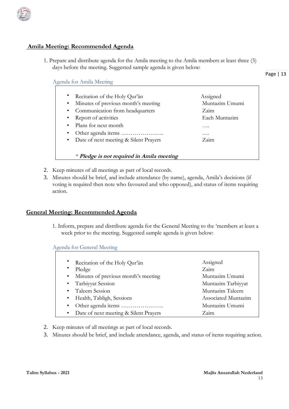

# **Amila Meeting: Recommended Agenda**

1. Prepare and distribute agenda for the Amila meeting to the Amila members at least three (3) days before the meeting. Suggested sample agenda is given below:

Page | 13

#### Agenda for Amila Meeting

| Recitation of the Holy Qur'an                    | Assigned       |
|--------------------------------------------------|----------------|
| Minutes of previous month's meeting<br>$\bullet$ | Muntazim Umumi |
| • Communication from headquarters                | Zaim           |
| • Report of activities                           | Each Muntazim  |
| • Plans for next month                           | .              |
|                                                  | .              |
| • Date of next meeting & Silent Prayers          | Zaim           |
|                                                  |                |
| * Pledge is not required in Amila meeting        |                |

- 2. Keep minutes of all meetings as part of local records.
- 3. Minutes should be brief, and include attendance (by name), agenda, Amila's decisions (if voting is required then note who favoured and who opposed), and status of items requiring action.

#### **General Meeting: Recommended Agenda**

1. Inform, prepare and distribute agenda for the General Meeting to the 'members at least a week prior to the meeting. Suggested sample agenda is given below:

Agenda for General Meeting

| Recitation of the Holy Qur'an                    | Assigned            |
|--------------------------------------------------|---------------------|
| Pledge                                           | Zaim                |
| Minutes of previous month's meeting<br>$\bullet$ | Muntazim Umumi      |
| • Tarbiyyat Session                              | Muntazim Tarbiyyat  |
| • Taleem Session                                 | Muntazim Taleem     |
| • Health, Tabligh, Sessions                      | Associated Muntazim |
|                                                  | Muntazim Umumi      |
| • Date of next meeting & Silent Prayers          | Zaim                |

- 2. Keep minutes of all meetings as part of local records.
- 3. Minutes should be brief, and include attendance, agenda, and status of items requiring action.

 $\overline{\phantom{0}}$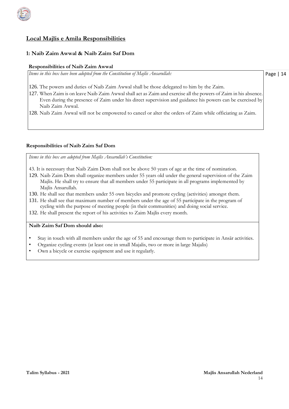

## **Local Majlis e Amila Responsibilities**

#### **1: Naib Zaim Awwal & Naib Zaim Saf Dom**

#### **Responsibilities of Naib Zaim Awwal**

*Items in this box have been adopted from the Constitution of Majlis Ansarullah:*

Page | 14

126. The powers and duties of Naib Zaim Awwal shall be those delegated to him by the Zaim.

- 127. When Zaim is on leave Naib Zaim Awwal shall act as Zaim and exercise all the powers of Zaim in his absence. Even during the presence of Zaim under his direct supervision and guidance his powers can be exercised by Naib Zaim Awwal.
- 128. Naib Zaim Awwal will not be empowered to cancel or alter the orders of Zaim while officiating as Zaim.

#### **Responsibilities of Naib Zaim Saf Dom**

*Items in this box are adopted from Majlis Ansarullah's Constitution:*

- 43. It is necessary that Naib Zaim Dom shall not be above 50 years of age at the time of nomination.
- 129. Naib Zaim Dom shall organize members under 55 years old under the general supervision of the Zaim Majlis. He shall try to ensure that all members under 55 participate in all programs implemented by Majlis Ansarullah.
- 130. He shall see that members under 55 own bicycles and promote cycling (activities) amongst them.
- 131. He shall see that maximum number of members under the age of 55 participate in the program of cycling with the purpose of meeting people (in their communities) and doing social service.
- 132. He shall present the report of his activities to Zaim Majlis every month.

#### **Naib Zaim Saf Dom should also:**

- Stay in touch with all members under the age of 55 and encourage them to participate in Ansār activities.
- Organize cycling events (at least one in small Majalis, two or more in large Majalis)
- Own a bicycle or exercise equipment and use it regularly.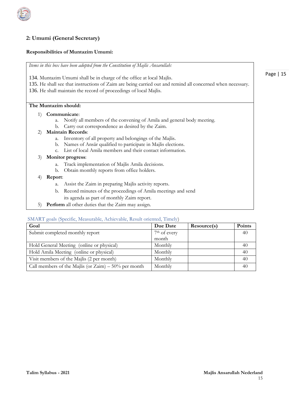

### **2: Umumi (General Secretary)**

#### **Responsibilities of Muntazim Umumi:**

*Items in this box have been adopted from the Constitution of Majlis Ansarullah:* 134. Muntazim Umumi shall be in charge of the office at local Majlis. 135. He shall see that instructions of Zaim are being carried out and remind all concerned when necessary. 136. He shall maintain the record of proceedings of local Majlis. **The Muntazim should:** 1) **Communicate**: a. Notify all members of the convening of Amila and general body meeting. b. Carry out correspondence as desired by the Zaim. 2) **Maintain Records**: a. Inventory of all property and belongings of the Majlis. b. Names of Ansār qualified to participate in Majlis elections. c. List of local Amila members and their contact information. 3) **Monitor progress**: a. Track implementation of Majlis Amila decisions. b. Obtain monthly reports from office holders. 4) **Report**: a. Assist the Zaim in preparing Majlis activity reports. b. Record minutes of the proceedings of Amila meetings and send its agenda as part of monthly Zaim report. 5) **Perform** all other duties that the Zaim may assign. SMART goals (Specific, Measurable, Achievable, Result oriented, Timely)

| Goal                                                   | Due Date                 | Resource(s) | Points |
|--------------------------------------------------------|--------------------------|-------------|--------|
| Submit completed monthly report                        | 7 <sup>th</sup> of every |             | 40     |
|                                                        | month                    |             |        |
| Hold General Meeting (online or physical)              | Monthly                  |             | 40     |
| Hold Amila Meeting (online or physical)                | Monthly                  |             | 40     |
| Visit members of the Majlis (2 per month)              | Monthly                  |             | 40     |
| Call members of the Majlis (or Zaim) $-50\%$ per month | Monthly                  |             | 40     |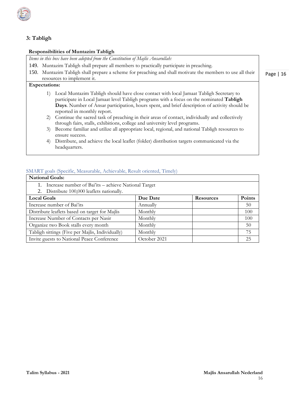

# **3: Tabligh**

# **Responsibilities of Muntazim Tabligh**

| Items in this box have been adopted from the Constitution of Majlis Ansarullah:                                                                                                                                                                                                                                                                                                                                                                                                                                                                                                                                                                                                                                                                                           |  |
|---------------------------------------------------------------------------------------------------------------------------------------------------------------------------------------------------------------------------------------------------------------------------------------------------------------------------------------------------------------------------------------------------------------------------------------------------------------------------------------------------------------------------------------------------------------------------------------------------------------------------------------------------------------------------------------------------------------------------------------------------------------------------|--|
| 149. Muntazim Tabligh shall prepare all members to practically participate in preaching.                                                                                                                                                                                                                                                                                                                                                                                                                                                                                                                                                                                                                                                                                  |  |
| Muntazim Tabligh shall prepare a scheme for preaching and shall motivate the members to use all their<br>150.<br>Page $ 1$                                                                                                                                                                                                                                                                                                                                                                                                                                                                                                                                                                                                                                                |  |
| resources to implement it.                                                                                                                                                                                                                                                                                                                                                                                                                                                                                                                                                                                                                                                                                                                                                |  |
| <b>Expectations:</b>                                                                                                                                                                                                                                                                                                                                                                                                                                                                                                                                                                                                                                                                                                                                                      |  |
| Local Muntazim Tabligh should have close contact with local Jamaat Tabligh Secretary to<br>participate in Local Jamaat level Tabligh programs with a focus on the nominated Tabligh<br>Days. Number of Ansar participation, hours spent, and brief description of activity should be<br>reported in monthly report.<br>Continue the sacred task of preaching in their areas of contact, individually and collectively<br>2)<br>through fairs, stalls, exhibitions, college and university level programs.<br>Become familiar and utilize all appropriate local, regional, and national Tabligh resources to<br>3)<br>ensure success.<br>Distribute, and achieve the local leaflet (folder) distribution targets communicated via the<br>$\left(4\right)$<br>headquarters. |  |

#### SMART goals (Specific, Measurable, Achievable, Result oriented, Timely)

| <b>National Goals:</b>                               |              |                  |        |
|------------------------------------------------------|--------------|------------------|--------|
| Increase number of Bai'its – achieve National Target |              |                  |        |
| 2. Distribute 100,000 leaflets nationally.           |              |                  |        |
| <b>Local Goals</b>                                   | Due Date     | <b>Resources</b> | Points |
| Increase number of Bai'its                           | Annually     |                  | 50     |
| Distribute leaflets based on target for Majlis       | Monthly      |                  | 100    |
| Increase Number of Contacts per Nasir                | Monthly      |                  | 100    |
| Organize two Book stalls every month                 | Monthly      |                  | 50     |
| Tabligh sittings (Five per Majlis, Individually)     | Monthly      |                  | 75     |
| Invite guests to National Peace Conference           | October 2021 |                  | 25     |

 $16$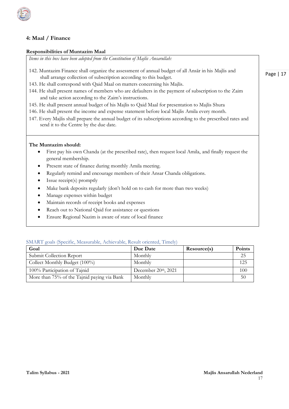

#### **4: Maal / Finance**

#### **Responsibilities of Muntazim Maal**

*Items in this box have been adopted from the Constitution of Majlis Ansarullah:* 

- 142. Muntazim Finance shall organize the assessment of annual budget of all Ansār in his Majlis and shall arrange collection of subscription according to this budget.
- 143. He shall correspond with Qaid Maal on matters concerning his Majlis.
- 144. He shall present names of members who are defaulters in the payment of subscription to the Zaim and take action according to the Zaim's instructions.
- 145. He shall present annual budget of his Majlis to Qaid Maal for presentation to Majlis Shura
- 146. He shall present the income and expense statement before local Majlis Amila every month.
- 147. Every Majlis shall prepare the annual budget of its subscriptions according to the prescribed rates and send it to the Centre by the due date.

#### **The Muntazim should:**

- First pay his own Chanda (at the prescribed rate), then request local Amila, and finally request the general membership.
- Present state of finance during monthly Amila meeting.
- Regularly remind and encourage members of their Ansar Chanda obligations.
- Issue receipt(s) promptly
- Make bank deposits regularly (don't hold on to cash for more than two weeks)
- Manage expenses within budget
- Maintain records of receipt books and expenses
- Reach out to National Qaid for assistance or questions
- Ensure Regional Nazim is aware of state of local finance

#### SMART goals (Specific, Measurable, Achievable, Result oriented, Timely)

| Goal                                        | Due Date               | Resource(s) | <b>Points</b> |
|---------------------------------------------|------------------------|-------------|---------------|
| Submit Collection Report                    | Monthly                |             | 25            |
| Collect Monthly Budget (100%)               | Monthly                |             | 125           |
| 100% Participation of Tajnid                | December $20th$ , 2021 |             | 100           |
| More than 75% of the Tajnid paying via Bank | Monthly                |             | 50            |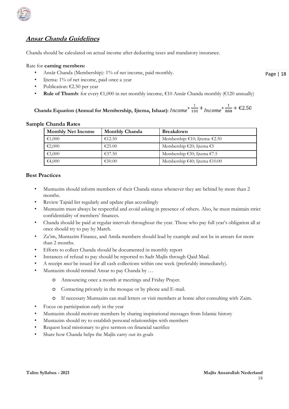

# **Ansar Chanda Guidelines**

Chanda should be calculated on actual income after deducting taxes and mandatory insurance.

#### Rate for **earning members:**

- Ansār Chanda (Membership): 1% of net income, paid monthly.
- Ijtema: 1% of net income, paid once a year
- Publication:  $\epsilon$ 2.50 per year
- **Rule of Thumb**: for every  $\epsilon 1,000$  in net monthly income,  $\epsilon 10$  Ansār Chanda monthly ( $\epsilon 120$  annually)

Chanda Equation (Annual for Membership, Ijtema, Ishaat):  $Income^*$   $\frac{1}{100}$  +  $Income^*$   $\frac{1}{800}$  +  $\in$ 2.50

#### **Sample Chanda Rates**

| <b>Monthly Net Income</b> | <b>Monthly Chanda</b> | <b>Breakdown</b>               |
|---------------------------|-----------------------|--------------------------------|
| €1,000                    | €12.50                | Membership: €10; Ijtema: €2.50 |
| €2,000                    | €25.00                | Membership €20; Ijtema €5      |
| €3,000                    | €37.50                | Membership €30; Ijtema €7.5    |
| €4,000                    | €50.00                | Membership €40; Ijtema €10.00  |

#### **Best Practices**

- Muntazim should inform members of their Chanda status whenever they are behind by more than 2 months.
- Review Tajnid list regularly and update plan accordingly
- Muntazim must always be respectful and avoid asking in presence of others. Also, he must maintain strict confidentiality of members' finances.
- Chanda should be paid at regular intervals throughout the year. Those who pay full year's obligation all at once should try to pay by March.
- Za'im, Muntazim Finance, and Amila members should lead by example and not be in arrears for more than 2 months.
- Efforts to collect Chanda should be documented in monthly report
- Instances of refusal to pay should be reported to Sadr Majlis through Qaid Maal.
- A receipt *must* be issued for all cash collections within one week (preferably immediately).
- Muntazim should remind Ansar to pay Chanda by ...
	- o Announcing once a month at meetings and Friday Prayer.
	- o Contacting privately in the mosque or by phone and E-mail.
	- o If necessary Muntazim can mail letters or visit members at home after consulting with Zaim.
- Focus on participation early in the year
- Muntazim should motivate members by sharing inspirational messages from Islamic history
- Muntazim should try to establish personal relationships with members
- Request local missionary to give sermon on financial sacrifice
- Share how Chanda helps the Majlis carry out its goals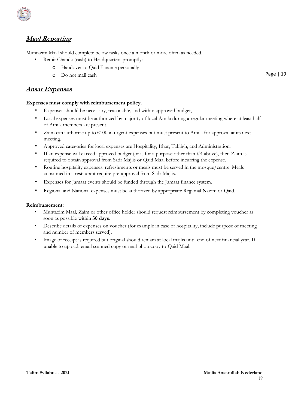

# **Maal Reporting**

Muntazim Maal should complete below tasks once a month or more often as needed.

- Remit Chanda (cash) to Headquarters promptly:
	- o Handover to Qaid Finance personally
	- o Do not mail cash

## **Ansar Expenses**

#### **Expenses must comply with reimbursement policy.**

- Expenses should be necessary, reasonable, and within approved budget,
- Local expenses must be authorized by majority of local Amila during a regular meeting where at least half of Amila members are present.
- Zaim can authorize up to  $\epsilon$ 100 in urgent expenses but must present to Amila for approval at its next meeting.
- Approved categories for local expenses are Hospitality, Ithar, Tabligh, and Administration.
- If an expense will exceed approved budget (or is for a purpose other than #4 above), then Zaim is required to obtain approval from Sadr Majlis or Qaid Maal before incurring the expense.
- Routine hospitality expenses, refreshments or meals must be served in the mosque/centre. Meals consumed in a restaurant require pre-approval from Sadr Majlis.
- Expenses for Jamaat events should be funded through the Jamaat finance system.
- Regional and National expenses must be authorized by appropriate Regional Nazim or Qaid.

#### **Reimbursement:**

- Muntazim Maal, Zaim or other office holder should request reimbursement by completing voucher as soon as possible within **30 days**.
- Describe details of expenses on voucher (for example in case of hospitality, include purpose of meeting and number of members served).
- Image of receipt is required but original should remain at local majlis until end of next financial year. If unable to upload, email scanned copy or mail photocopy to Qaid Maal.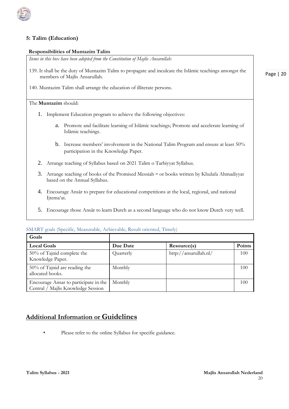

#### **5: Talim (Education)**

#### **Responsibilities of Muntazim Talim**

*Items in this box have been adopted from the Constitution of Majlis Ansarullah:* 

- 139. It shall be the duty of Muntazim Talim to propagate and inculcate the Islāmic teachings amongst the members of Majlis Ansarullah.
- 140. Muntazim Talim shall arrange the education of illiterate persons.

#### The **Muntazim** should:

- 1. Implement Education program to achieve the following objectives:
	- a. Promote and facilitate learning of Islāmic teachings; Promote and accelerate learning of Islāmic teachings.
	- b. Increase members' involvement in the National Talim Program and ensure at least 50% participation in the Knowledge Paper.
- 2. Arrange teaching of Syllabus based on 2021 Talim o Tarbiyyat Syllabus.
- 3. Arrange teaching of books of the Promised Messiah as or books written by Khulafa Ahmadiyyat based on the Annual Syllabus.
- 4. Encourage Ansār to prepare for educational competitions at the local, regional, and national Ijtema'at.
- 5. Encourage those Ansār to learn Dutch as a second language who do not know Dutch very well.

| Goals                                                                       |           |                       |        |
|-----------------------------------------------------------------------------|-----------|-----------------------|--------|
| <b>Local Goals</b>                                                          | Due Date  | Resource(s)           | Points |
| 50% of Tajnid complete the<br>Knowledge Paper.                              | Quarterly | http://ansarullah.nl/ | 100    |
| $50\%$ of Tajnid are reading the<br>allocated books.                        | Monthly   |                       | 100    |
| Encourage Ansar to participate in the<br>Central / Majlis Knowledge Session | Monthly   |                       | 100    |

#### SMART goals (Specific, Measurable, Achievable, Result oriented, Timely)

# **Additional Information or Guidelines**

Please refer to the online Syllabus for specific guidance.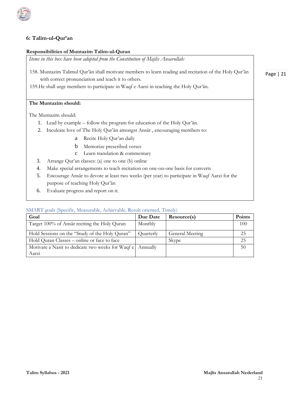

#### **6: Talim-ul-Qur'an**

#### **Responsibilities of Muntazim Talim-ul-Quran**

*Items in this box have been adopted from the Constitution of Majlis Ansarullah:* 

158. Muntazim Talimul Qur'ān shall motivate members to learn reading and recitation of the Holy Qur'ān with correct pronunciation and teach it to others.

159.He shall urge members to participate in Waqf e Aarzi in teaching the Holy Qur'ān.

### **The Muntazim should:**

The Muntazim should:

- 1. Lead by example follow the program for education of the Holy Qur'ān.
- 2. Inculcate love of The Holy Qur'ān amongst Ansār , encouraging members to:
	- a Recite Holy Qur'an daily
	- b Memorize prescribed verses
	- c Learn translation & commentary
- 3. Arrange Qur'an classes: (a) one to one (b) online
- 4. Make special arrangements to teach recitation on one-on-one basis for converts
- 5. Encourage Ansār to devote at least two weeks (per year) to participate in Waqf Aarzi for the purpose of teaching Holy Qur'ān
- 6. Evaluate progress and report on it.

#### SMART goals (Specific, Measurable, Achievable, Result oriented, Timely)

| Goal                                                                | Due Date  | Resource(s)     | <b>Points</b> |
|---------------------------------------------------------------------|-----------|-----------------|---------------|
| Target 100% of Ansār reciting the Holy Quran                        | Monthly   |                 | 100           |
| Hold Sessions on the "Study of the Holy Quran"                      | Quarterly | General Meeting | 25            |
| Hold Quran Classes – online or face to face                         |           | Skype           | 25            |
| Motivate a Nasir to dedicate two weeks for Waqf e Annually<br>Aarzi |           |                 | 50            |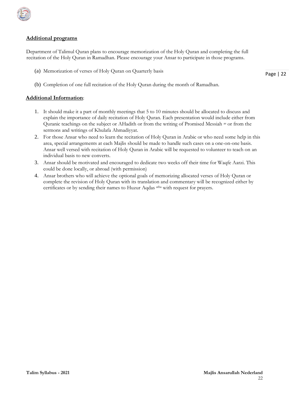

#### **Additional programs**

Department of Talimul Quran plans to encourage memorization of the Holy Quran and completing the full recitation of the Holy Quran in Ramadhan. Please encourage your Ansar to participate in those programs.

(a) Memorization of verses of Holy Quran on Quarterly basis

Page | 22

(b) Completion of one full recitation of the Holy Quran during the month of Ramadhan.

#### **Additional Information**:

- 1. It should make it a part of monthly meetings that 5 to 10 minutes should be allocated to discuss and explain the importance of daily recitation of Holy Quran. Each presentation would include either from Quranic teachings on the subject or AHadith or from the writing of Promised Messiah as or from the sermons and writings of Khulafa Ahmadiyyat.
- 2. For those Ansar who need to learn the recitation of Holy Quran in Arabic or who need some help in this area, special arrangements at each Majlis should be made to handle such cases on a one-on-one basis. Ansar well versed with recitation of Holy Quran in Arabic will be requested to volunteer to teach on an individual basis to new converts.
- 3. Ansar should be motivated and encouraged to dedicate two weeks off their time for Waqfe Aarzi. This could be done locally, or abroad (with permission)
- 4. Ansar brothers who will achieve the optional goals of memorizing allocated verses of Holy Quran or complete the revision of Holy Quran with its translation and commentary will be recognized either by certificates or by sending their names to Huzur Aqdas atba with request for prayers.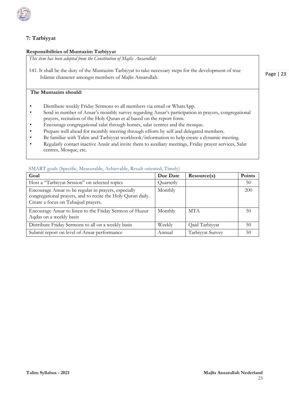

# **7: Tarbiyyat**

#### **Responsibilities of Muntazim Tarbiyyat**

*This item has been adopted from the Constitution of Majlis Ansarullah:* 

141. It shall be the duty of the Muntazim Tarbiyyat to take necessary steps for the development of true Islāmic character amongst members of Majlis Ansarullah.

#### **The Muntazim should:**

- Distribute weekly Friday Sermons to all members via email or WhatsApp.
- Send in number of Ansar's monthly survey regarding Ansar's participation in prayers, congregational prayers, recitation of the Holy Quran et al based on the report form.
- Encourage congregational salat through homes, salat centres and the mosque.
- Prepare well ahead for monthly meeting through efforts by self and delegated members.
- Be familiar with Talim and Tarbiyyat workbook/information to help create a dynamic meeting.
- Regularly contact inactive Ansār and invite them to auxiliary meetings, Friday prayer services, Salat centres, Mosque, etc.

| Goal                                                                                                                                                       | Due Date  | Resource(s)      | Points |
|------------------------------------------------------------------------------------------------------------------------------------------------------------|-----------|------------------|--------|
| Host a "Tarbiyyat Session" on selected topics                                                                                                              | Quarterly |                  | 50     |
| Encourage Ansar to be regular in prayers, especially<br>congregational prayers, and to recite the Holy Quran daily.<br>Create a focus on Tahajjud prayers. | Monthly   |                  | 200    |
| Encourage Ansar to listen to the Friday Sermon of Huzur<br>Aqdas on a weekly basis                                                                         | Monthly   | <b>MTA</b>       | 50     |
| Distribute Friday Sermons to all on a weekly basis                                                                                                         | Weekly    | Qaid Tarbiyyat   | 50     |
| Submit report on level of Ansar performance                                                                                                                | Annual    | Tarbiyyat Survey | 50     |

#### SMART goals (Specific, Measurable, Achievable, Result oriented, Timely)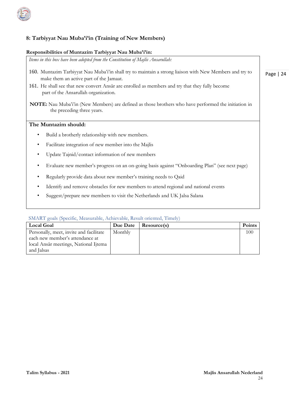

# **8: Tarbiyyat Nau Muba'i'in (Training of New Members)**

#### **Responsibilities of Muntazim Tarbiyyat Nau Muba'i'in:**

| Items in this box have been adopted from the Constitution of Majlis Ansarullah:                                                                     |     |
|-----------------------------------------------------------------------------------------------------------------------------------------------------|-----|
| 160. Muntazim Tarbiyyat Nau Muba'i'in shall try to maintain a strong liaison with New Members and try to<br>make them an active part of the Jamaat. | Pag |
| 161. He shall see that new convert Ansar are enrolled as members and try that they fully become<br>part of the Ansarullah organization.             |     |
| NOTE: Nau Muba'i'in (New Members) are defined as those brothers who have performed the initiation in<br>the preceding three years.                  |     |
| The Muntazim should:                                                                                                                                |     |
| Build a brotherly relationship with new members.<br>٠                                                                                               |     |
| Facilitate integration of new member into the Majlis<br>$\bullet$                                                                                   |     |
| Update Tajnid/contact information of new members<br>٠                                                                                               |     |
| Evaluate new member's progress on an on-going basis against "Onboarding Plan" (see next page)<br>$\bullet$                                          |     |
| Regularly provide data about new member's training needs to Qaid                                                                                    |     |
| Identify and remove obstacles for new members to attend regional and national events<br>٠                                                           |     |
| Suggest/prepare new members to visit the Netherlands and UK Jalsa Salana                                                                            |     |

#### SMART goals (Specific, Measurable, Achievable, Result oriented, Timely)

| <b>Local Goal</b>                       | Due Date | Resource(s) | <b>Points</b> |
|-----------------------------------------|----------|-------------|---------------|
| Personally, meet, invite and facilitate | Monthly  |             | 100           |
| each new member's attendance at         |          |             |               |
| local Ansār meetings, National Ijtema   |          |             |               |
| and Jalsas                              |          |             |               |

ge | 24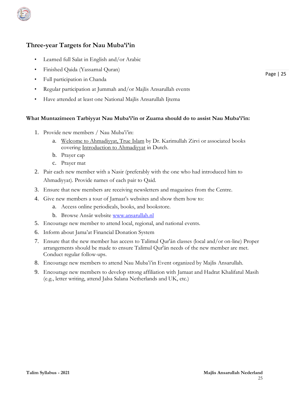

# **Three-year Targets for Nau Muba'i'in**

- Learned full Salat in English and/or Arabic
- Finished Qaida (Yassarnal Quran)
- Full participation in Chanda
- Regular participation at Jummah and/or Majlis Ansarullah events
- Have attended at least one National Majlis Ansarullah Ijtema

#### **What Muntazimeen Tarbiyyat Nau Muba'i'in or Zuama should do to assist Nau Muba'i'in:**

- 1. Provide new members / Nau Muba'i'in:
	- a. Welcome to Ahmadiyyat, True Islam by Dr. Karimullah Zirvi or associated books covering Introduction to Ahmadiyyat in Dutch.
	- b. Prayer cap
	- c. Prayer mat
- 2. Pair each new member with a Nasir (preferably with the one who had introduced him to Ahmadiyyat). Provide names of each pair to Qaid.
- 3. Ensure that new members are receiving newsletters and magazines from the Centre.
- 4. Give new members a tour of Jamaat's websites and show them how to:
	- a. Access online periodicals, books, and bookstore.
	- b. Browse Ansār website www.ansarullah.nl
- 5. Encourage new member to attend local, regional, and national events.
- 6. Inform about Jama'at Financial Donation System
- 7. Ensure that the new member has access to Talimul Qur'ān classes (local and/or on-line) Proper arrangements should be made to ensure Talimul Qur'ān needs of the new member are met. Conduct regular follow-ups.
- 8. Encourage new members to attend Nau Muba'i'in Event organized by Majlis Ansarullah.
- 9. Encourage new members to develop strong affiliation with Jamaat and Hadrat Khalifatul Masih (e.g., letter writing, attend Jalsa Salana Netherlands and UK, etc.)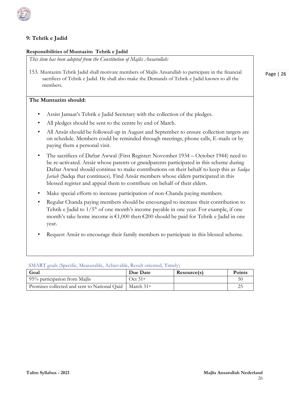

## **9: Tehrik e Jadid**

#### **Responsibilities of Muntazim Tehrik e Jadid**

*This item has been adopted from the Constitution of Majlis Ansarullah:* 

153. Muntazim Tehrik Jadid shall motivate members of Majlis Ansarullah to participate in the financial sacrifices of Tehrik e Jadid. He shall also make the Demands of Tehrik e Jadid known to all the members.

#### **The Muntazim should:**

- Assist Jamaat's Tehrik e Jadid Secretary with the collection of the pledges.
- All pledges should be sent to the centre by end of March.
- All Ansār should be followed-up in August and September to ensure collection targets are on schedule. Members could be reminded through meetings, phone calls, E-mails or by paying them a personal visit.
- The sacrifices of Daftar Awwal (First Register: November 1934 October 1944) need to be re-activated. Ansār whose parents or grandparents participated in this scheme during Daftar Awwal should continue to make contributions on their behalf to keep this as *Sadqa Jariah* (Sadqa that continues). Find Ansār members whose elders participated in this blessed register and appeal them to contribute on behalf of their elders.
- Make special efforts to increase participation of non-Chanda paying members.
- Regular Chanda paying members should be encouraged to increase their contribution to Tehrik e Jadid to  $1/5<sup>th</sup>$  of one month's income payable in one year. For example, if one month's take home income is  $\epsilon 1,000$  then  $\epsilon 200$  should be paid for Tehrik e Jadid in one year.
- Request Ansār to encourage their family members to participate in this blessed scheme.

SMART goals (Specific, Measurable, Achievable, Result oriented, Timely)

| Goal                                                                  | Due Date | Resource(s) | <b>Points</b> |
|-----------------------------------------------------------------------|----------|-------------|---------------|
| 95% participation from Majlis                                         | Oct.31st |             | 5(            |
| Promises collected and sent to National Qaid   March 31 <sup>st</sup> |          |             |               |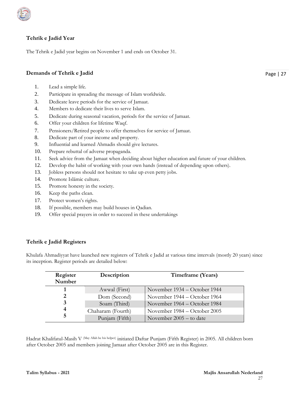

#### **Tehrik e Jadid Year**

The Tehrik e Jadid year begins on November 1 and ends on October 31.

#### **Demands of Tehrik e Jadid**

- 1. Lead a simple life.
- 2. Participate in spreading the message of Islam worldwide.
- 3. Dedicate leave periods for the service of Jamaat.
- 4. Members to dedicate their lives to serve Islam.
- 5. Dedicate during seasonal vacation, periods for the service of Jamaat.
- 6. Offer your children for lifetime Waqf.
- 7. Pensioners/Retired people to offer themselves for service of Jamaat.
- 8. Dedicate part of your income and property.
- 9. Influential and learned Ahmadis should give lectures.
- 10. Prepare rebuttal of adverse propaganda.
- 11. Seek advice from the Jamaat when deciding about higher education and future of your children.
- 12. Develop the habit of working with your own hands (instead of depending upon others).
- 13. Jobless persons should not hesitate to take up even petty jobs.
- 14. Promote Islāmic culture.
- 15. Promote honesty in the society.
- 16. Keep the paths clean.
- 17. Protect women's rights.
- 18. If possible, members may build houses in Qadian.
- 19. Offer special prayers in order to succeed in these undertakings

#### **Tehrik e Jadid Registers**

Khulafa Ahmadiyyat have launched new registers of Tehrik e Jadid at various time intervals (mostly 20 years) since its inception. Register periods are detailed below:

| Register<br>Number | Description       | Timeframe (Years)              |
|--------------------|-------------------|--------------------------------|
|                    | Awwal (First)     | November $1934 - October 1944$ |
| 2                  | Dom (Second)      | November 1944 – October 1964   |
| 3                  | Soam (Third)      | November 1964 – October 1984   |
| 4                  | Chaharam (Fourth) | November $1984 - October$ 2005 |
| 5                  | Punjam (Fifth)    | November $2005 -$ to date      |

Hadrat Khalifatul-Masih V (May Allah be his helper) initiated Daftar Punjam (Fifth Register) in 2005. All children born after October 2005 and members joining Jamaat after October 2005 are in this Register.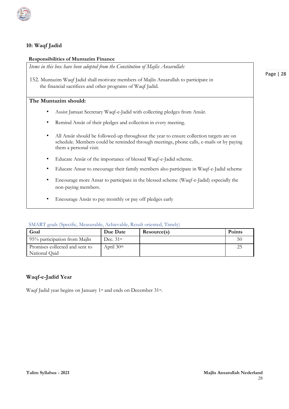

#### **10: Waqf Jadid**

#### **Responsibilities of Muntazim Finance**

*Items in this box have been adopted from the Constitution of Majlis Ansarullah:* 

152. Muntazim Waqf Jadid shall motivate members of Majlis Ansarullah to participate in the financial sacrifices and other programs of Waqf Jadid.

#### **The Muntazim should:**

- Assist Jamaat Secretary Waqf-e-Jadid with collecting pledges from Ansār.
- Remind Ansār of their pledges and collection in every meeting.
- All Ansār should be followed-up throughout the year to ensure collection targets are on schedule. Members could be reminded through meetings, phone calls, e-mails or by paying them a personal visit.
- Educate Ansār of the importance of blessed Waqf-e-Jadid scheme.
- Educate Ansar to encourage their family members also participate in Waqf-e-Jadid scheme
- Encourage more Ansar to participate in the blessed scheme (Waqf-e-Jadid) especially the non-paying members.
- Encourage Ansār to pay monthly or pay off pledges early

#### SMART goals (Specific, Measurable, Achievable, Result oriented, Timely)

| Goal                                            | Due Date    | Resource(s) | <b>Points</b> |
|-------------------------------------------------|-------------|-------------|---------------|
| 95% participation from Majlis                   | Dec. $31st$ |             | 50            |
| Promises collected and sent to<br>National Qaid | April 30th  |             | 25            |
|                                                 |             |             |               |

#### **Waqf-e-Jadid Year**

Waqf Jadid year begins on January 1<sup>st</sup> and ends on December 31<sup>st</sup>.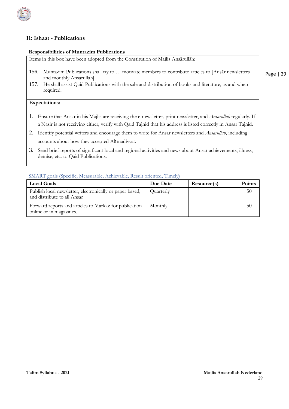

#### **11: Ishaat - Publications**

#### **Responsibilities of Muntazim Publications**

Items in this box have been adopted from the Constitution of Majlis Ansārullāh:

- 156. Muntazim Publications shall try to … motivate members to contribute articles to [Ansār newsletters and monthly Ansarullah]
- 157. He shall assist Qaid Publications with the sale and distribution of books and literature, as and when required.

#### **Expectations:**

- 1. Ensure that Ansar in his Majlis are receiving the e-newsletter, print newsletter, and *Ansarullah* regularly. If a Nasir is not receiving either, verify with Qaid Tajnid that his address is listed correctly in Ansar Tajnid.
- 2. Identify potential writers and encourage them to write for Ansar newsletters and *Ansarullah*, including accounts about how they accepted Ahmadiyyat.
- 3. Send brief reports of significant local and regional activities and news about Ansar achievements, illness, demise, etc. to Qaid Publications.

#### SMART goals (Specific, Measurable, Achievable, Result oriented, Timely)

| <b>Local Goals</b>                                                                      | Due Date  | Resource(s) | <b>Points</b> |
|-----------------------------------------------------------------------------------------|-----------|-------------|---------------|
| Publish local newsletter, electronically or paper based,<br>and distribute to all Ansar | Quarterly |             | 50            |
| Forward reports and articles to Markaz for publication<br>online or in magazines.       | Monthly   |             | 50            |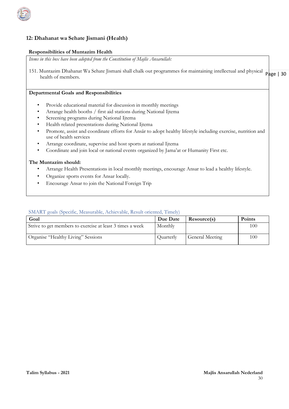

### **12: Dhahanat wa Sehate Jismani (Health)**

#### **Responsibilities of Muntazim Health**

*Items in this box have been adopted from the Constitution of Majlis Ansarullah:*

151. Muntazim Dhahanat Wa Sehate Jismani shall chalk out programmes for maintaining intellectual and physical page | 30 health of members.

#### **Departmental Goals and Responsibilities**

- Provide educational material for discussion in monthly meetings
- Arrange health booths / first aid stations during National Ijtema
- Screening programs during National Ijtema
- Health related presentations during National Ijtema
- Promote, assist and coordinate efforts for Ansār to adopt healthy lifestyle including exercise, nutrition and use of health services
- Arrange coordinate, supervise and host sports at national Ijtema
- Coordinate and join local or national events organized by Jama'at or Humanity First etc.

#### **The Muntazim should:**

- Arrange Health Presentations in local monthly meetings, encourage Ansar to lead a healthy lifestyle.
- Organize sports events for Ansar locally.
- Encourage Ansar to join the National Foreign Trip

#### SMART goals (Specific, Measurable, Achievable, Result oriented, Timely)

| Goal                                                      | Due Date  | Resource(s)     | <b>Points</b> |
|-----------------------------------------------------------|-----------|-----------------|---------------|
| Strive to get members to exercise at least 3 times a week | Monthly   |                 | 100           |
| Organise "Healthy Living" Sessions                        | Quarterly | General Meeting | 100           |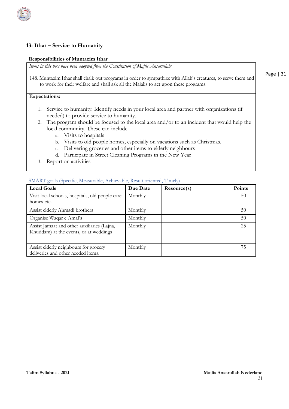#### **13: Ithar – Service to Humanity**

#### **Responsibilities of Muntazim Ithar**

*Items in this box have been adopted from the Constitution of Majlis Ansarullah:*

148. Muntazim Ithar shall chalk out programs in order to sympathize with Allah's creatures, to serve them and to work for their welfare and shall ask all the Majalis to act upon these programs.

#### **Expectations:**

- 1. Service to humanity: Identify needs in your local area and partner with organizations (if needed) to provide service to humanity.
- 2. The program should be focused to the local area and/or to an incident that would help the local community. These can include.
	- a. Visits to hospitals
	- b. Visits to old people homes, especially on vacations such as Christmas.
	- c. Delivering groceries and other items to elderly neighbours
	- d. Participate in Street Cleaning Programs in the New Year
- 3. Report on activities

|  | SMART goals (Specific, Measurable, Achievable, Result oriented, Timely) |  |  |  |  |  |
|--|-------------------------------------------------------------------------|--|--|--|--|--|
|--|-------------------------------------------------------------------------|--|--|--|--|--|

| <b>Local Goals</b>                                                                    | Due Date | Resource(s) | Points |
|---------------------------------------------------------------------------------------|----------|-------------|--------|
| Visit local schools, hospitals, old people care<br>homes etc.                         | Monthly  |             | 50     |
| Assist elderly Ahmadi brothers                                                        | Monthly  |             | 50     |
| Organise Waqar e Amal's                                                               | Monthly  |             | 50     |
| Assist Jamaat and other auxiliaries (Lajna,<br>Khuddam) at the events, or at weddings | Monthly  |             | 25     |
| Assist elderly neighbours for grocery<br>deliveries and other needed items.           | Monthly  |             | 75     |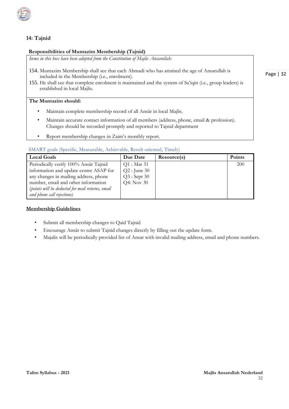

### **14: Tajnid**

#### **Responsibilities of Muntazim Membership (Tajnid)**

*Items in this box have been adopted from the Constitution of Majlis Ansarullah:* 

- 154. Muntazim Membership shall see that each Ahmadi who has attained the age of Ansarullah is included in the Membership (i.e., enrolment).
- 155. He shall see that complete enrolment is maintained and the system of Sa'iqin (i.e., group leaders) is established in local Majlis.

#### **The Muntazim should:**

- Maintain complete membership record of all Ansār in local Majlis.
- Maintain accurate contact information of all members (address, phone, email & profession). Changes should be recorded promptly and reported to Tajnid department
- Report membership changes in Zaim's monthly report.

#### SMART goals (Specific, Measurable, Achievable, Result oriented, Timely)

| <b>Local Goals</b>                               | Due Date      | Resource(s) | <b>Points</b> |
|--------------------------------------------------|---------------|-------------|---------------|
| Periodically verify 100% Ansar Tajnid            | $Q1:$ Mar 31  |             | <b>200</b>    |
| information and update centre ASAP for           | $Q2:$ June 30 |             |               |
| any changes in mailing address, phone            | $Q3:$ Sept 30 |             |               |
| number, email and other information              | Q4: Nov 30    |             |               |
| (points will be deducted for mail returns, email |               |             |               |
| and phone call rejections)                       |               |             |               |

#### **Membership Guidelines**

- Submit all membership changes to Qaid Tajnid
- Encourage Ansār to submit Tajnid changes directly by filling out the update form.
- Majalis will be periodically provided list of Ansar with invalid mailing address, email and phone numbers.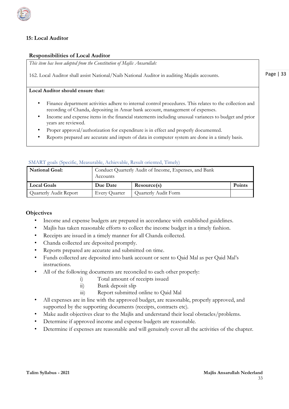

### **15: Local Auditor**

#### **Responsibilities of Local Auditor**

*This item has been adopted from the Constitution of Majlis Ansarullah:* 

162. Local Auditor shall assist National/Naib National Auditor in auditing Majalis accounts.

Page | 33

#### **Local Auditor should ensure that:**

- Finance department activities adhere to internal control procedures. This relates to the collection and recording of Chanda, depositing in Ansar bank account, management of expenses.
- Income and expense items in the financial statements including unusual variances to budget and prior years are reviewed.
- Proper approval/authorization for expenditure is in effect and properly documented.
- Reports prepared are accurate and inputs of data in computer system are done in a timely basis.

#### SMART goals (Specific, Measurable, Achievable, Result oriented, Timely)

| National Goal:         | Conduct Quarterly Audit of Income, Expenses, and Bank<br>Accounts |                      |        |  |
|------------------------|-------------------------------------------------------------------|----------------------|--------|--|
| <b>Local Goals</b>     | Due Date                                                          | Resource(s)          | Points |  |
| Quarterly Audit Report | Every Quarter                                                     | Quarterly Audit Form |        |  |

#### **Objectives**

- Income and expense budgets are prepared in accordance with established guidelines.
- Majlis has taken reasonable efforts to collect the income budget in a timely fashion.
- Receipts are issued in a timely manner for all Chanda collected.
- Chanda collected are deposited promptly.
- Reports prepared are accurate and submitted on time.
- Funds collected are deposited into bank account or sent to Qaid Mal as per Qaid Mal's instructions.
- All of the following documents are reconciled to each other properly:
	- i) Total amount of receipts issued
	- ii) Bank deposit slip
	- iii) Report submitted online to Qaid Mal
- All expenses are in line with the approved budget, are reasonable, properly approved, and supported by the supporting documents (receipts, contracts etc).
- Make audit objectives clear to the Majlis and understand their local obstacles/problems.
- Determine if approved income and expense budgets are reasonable.
- Determine if expenses are reasonable and will genuinely cover all the activities of the chapter.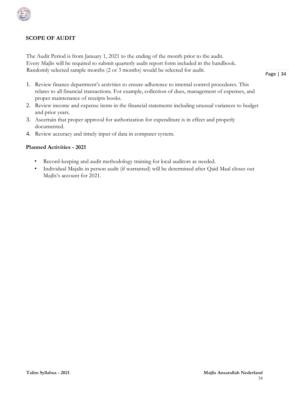

The Audit Period is from January 1, 2021 to the ending of the month prior to the audit. Every Majlis will be required to submit quarterly audit report form included in the handbook. Randomly selected sample months (2 or 3 months) would be selected for audit.

- 1. Review finance department's activities to ensure adherence to internal control procedures. This relates to all financial transactions. For example, collection of dues, management of expenses, and proper maintenance of receipts books.
- 2. Review income and expense items in the financial statements including unusual variances to budget and prior years.
- 3. Ascertain that proper approval for authorization for expenditure is in effect and properly documented.
- 4. Review accuracy and timely input of data in computer system.

#### **Planned Activities - 2021**

- Record-keeping and audit methodology training for local auditors as needed.
- Individual Majalis in person audit (if warranted) will be determined after Qaid Maal closes out Majlis's account for 2021.